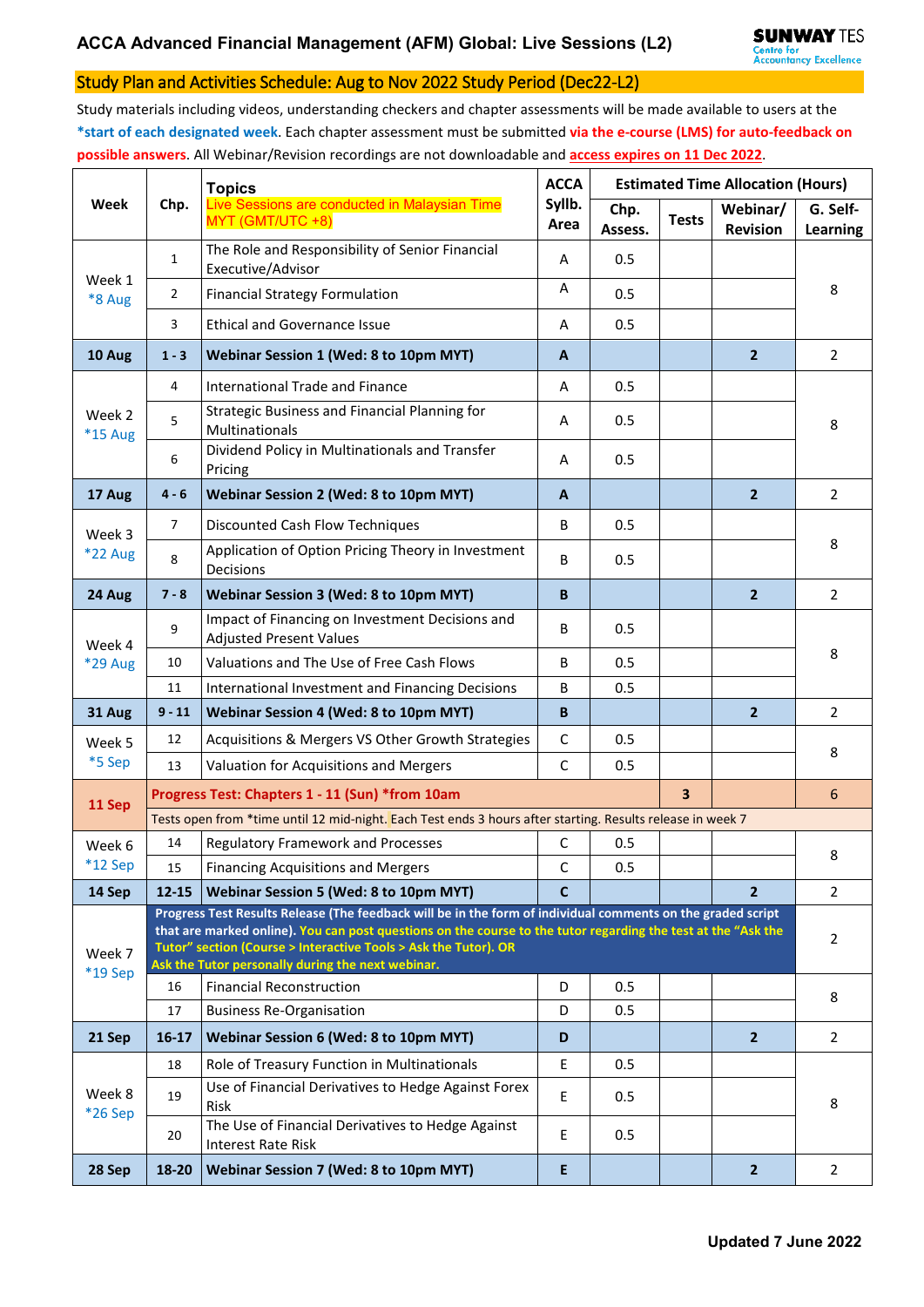## Study Plan and Activities Schedule: Aug to Nov 2022 Study Period (Dec22-L2)

Study materials including videos, understanding checkers and chapter assessments will be made available to users at the **\*start of each designated week**. Each chapter assessment must be submitted **via the e-course (LMS) for auto-feedback on possible answers**. All Webinar/Revision recordings are not downloadable and **access expires on 11 Dec 2022**.

| Week                     | Chp.                                                                                                                                                                                                                                                                                                                                                 | <b>Topics</b>                                                                     | <b>ACCA</b>    | <b>Estimated Time Allocation (Hours)</b> |              |                             |                             |  |  |
|--------------------------|------------------------------------------------------------------------------------------------------------------------------------------------------------------------------------------------------------------------------------------------------------------------------------------------------------------------------------------------------|-----------------------------------------------------------------------------------|----------------|------------------------------------------|--------------|-----------------------------|-----------------------------|--|--|
|                          |                                                                                                                                                                                                                                                                                                                                                      | Live Sessions are conducted in Malaysian Time<br>MYT (GMT/UTC +8)                 | Syllb.<br>Area | Chp.<br>Assess.                          | <b>Tests</b> | Webinar/<br><b>Revision</b> | G. Self-<br><b>Learning</b> |  |  |
| Week 1<br>*8 Aug         | $\mathbf{1}$                                                                                                                                                                                                                                                                                                                                         | The Role and Responsibility of Senior Financial<br>Executive/Advisor              | Α              | 0.5                                      |              |                             |                             |  |  |
|                          | $\overline{2}$                                                                                                                                                                                                                                                                                                                                       | <b>Financial Strategy Formulation</b>                                             | Α              | 0.5                                      |              |                             | 8                           |  |  |
|                          | 3                                                                                                                                                                                                                                                                                                                                                    | <b>Ethical and Governance Issue</b>                                               | Α              | 0.5                                      |              |                             |                             |  |  |
| 10 Aug                   | $1 - 3$                                                                                                                                                                                                                                                                                                                                              | Webinar Session 1 (Wed: 8 to 10pm MYT)                                            | A              |                                          |              | $\overline{2}$              | $\overline{2}$              |  |  |
| Week 2<br><b>*15 Aug</b> | 4                                                                                                                                                                                                                                                                                                                                                    | <b>International Trade and Finance</b>                                            | Α              | 0.5                                      |              |                             | 8                           |  |  |
|                          | 5                                                                                                                                                                                                                                                                                                                                                    | Strategic Business and Financial Planning for<br>Multinationals                   | Α              | 0.5                                      |              |                             |                             |  |  |
|                          | 6                                                                                                                                                                                                                                                                                                                                                    | Dividend Policy in Multinationals and Transfer<br>Pricing                         | Α              | 0.5                                      |              |                             |                             |  |  |
| 17 Aug                   | $4 - 6$                                                                                                                                                                                                                                                                                                                                              | Webinar Session 2 (Wed: 8 to 10pm MYT)                                            | A              |                                          |              | $\overline{2}$              | $\overline{2}$              |  |  |
| Week 3<br><b>*22 Aug</b> | $\overline{7}$                                                                                                                                                                                                                                                                                                                                       | Discounted Cash Flow Techniques                                                   | B              | 0.5                                      |              |                             | 8                           |  |  |
|                          | 8                                                                                                                                                                                                                                                                                                                                                    | Application of Option Pricing Theory in Investment<br>Decisions                   | B              | 0.5                                      |              |                             |                             |  |  |
| 24 Aug                   | $7 - 8$                                                                                                                                                                                                                                                                                                                                              | Webinar Session 3 (Wed: 8 to 10pm MYT)                                            | B              |                                          |              | $\overline{2}$              | $\overline{2}$              |  |  |
| Week 4                   | 9                                                                                                                                                                                                                                                                                                                                                    | Impact of Financing on Investment Decisions and<br><b>Adjusted Present Values</b> | B              | 0.5                                      |              |                             | 8                           |  |  |
| <b>*29 Aug</b>           | 10                                                                                                                                                                                                                                                                                                                                                   | Valuations and The Use of Free Cash Flows                                         | B              | 0.5                                      |              |                             |                             |  |  |
|                          | 11                                                                                                                                                                                                                                                                                                                                                   | International Investment and Financing Decisions                                  | B              | 0.5                                      |              |                             |                             |  |  |
| 31 Aug                   | $9 - 11$                                                                                                                                                                                                                                                                                                                                             | Webinar Session 4 (Wed: 8 to 10pm MYT)                                            | B              |                                          |              | $\overline{2}$              | $\overline{2}$              |  |  |
| Week 5                   | 12                                                                                                                                                                                                                                                                                                                                                   | Acquisitions & Mergers VS Other Growth Strategies                                 | C              | 0.5                                      |              |                             | 8                           |  |  |
| *5 Sep                   | 13                                                                                                                                                                                                                                                                                                                                                   | Valuation for Acquisitions and Mergers                                            | C              | 0.5                                      |              |                             |                             |  |  |
| 11 Sep                   | 3<br>Progress Test: Chapters 1 - 11 (Sun) *from 10am                                                                                                                                                                                                                                                                                                 |                                                                                   |                |                                          |              |                             |                             |  |  |
|                          | Tests open from *time until 12 mid-night. Each Test ends 3 hours after starting. Results release in week 7                                                                                                                                                                                                                                           |                                                                                   |                |                                          |              |                             |                             |  |  |
| Week 6                   | 14                                                                                                                                                                                                                                                                                                                                                   | Regulatory Framework and Processes                                                | C              | 0.5                                      |              |                             | 8                           |  |  |
| *12 Sep                  | 15                                                                                                                                                                                                                                                                                                                                                   | Financing Acquisitions and Mergers                                                | C              | 0.5                                      |              |                             |                             |  |  |
| 14 Sep                   | $12 - 15$                                                                                                                                                                                                                                                                                                                                            | Webinar Session 5 (Wed: 8 to 10pm MYT)                                            | $\mathbf C$    |                                          |              | $\overline{2}$              | $\overline{2}$              |  |  |
| Week 7<br>*19 Sep        | Progress Test Results Release (The feedback will be in the form of individual comments on the graded script<br>that are marked online). You can post questions on the course to the tutor regarding the test at the "Ask the<br>Tutor" section (Course > Interactive Tools > Ask the Tutor). OR<br>Ask the Tutor personally during the next webinar. |                                                                                   |                |                                          |              |                             |                             |  |  |
|                          | 16                                                                                                                                                                                                                                                                                                                                                   | <b>Financial Reconstruction</b>                                                   | D              | 0.5                                      |              |                             | 8                           |  |  |
|                          | 17                                                                                                                                                                                                                                                                                                                                                   | <b>Business Re-Organisation</b>                                                   | D              | 0.5                                      |              |                             |                             |  |  |
| 21 Sep                   | $16 - 17$                                                                                                                                                                                                                                                                                                                                            | Webinar Session 6 (Wed: 8 to 10pm MYT)                                            | D              |                                          |              | $\overline{2}$              | $\overline{2}$              |  |  |
| Week 8<br>*26 Sep        | 18                                                                                                                                                                                                                                                                                                                                                   | Role of Treasury Function in Multinationals                                       | E              | 0.5                                      |              |                             | 8                           |  |  |
|                          | 19                                                                                                                                                                                                                                                                                                                                                   | Use of Financial Derivatives to Hedge Against Forex<br>Risk                       | $\mathsf E$    | 0.5                                      |              |                             |                             |  |  |
|                          | 20                                                                                                                                                                                                                                                                                                                                                   | The Use of Financial Derivatives to Hedge Against<br><b>Interest Rate Risk</b>    | E              | 0.5                                      |              |                             |                             |  |  |
| 28 Sep                   | 18-20                                                                                                                                                                                                                                                                                                                                                | Webinar Session 7 (Wed: 8 to 10pm MYT)                                            | E              |                                          |              | $\overline{2}$              | $\overline{2}$              |  |  |